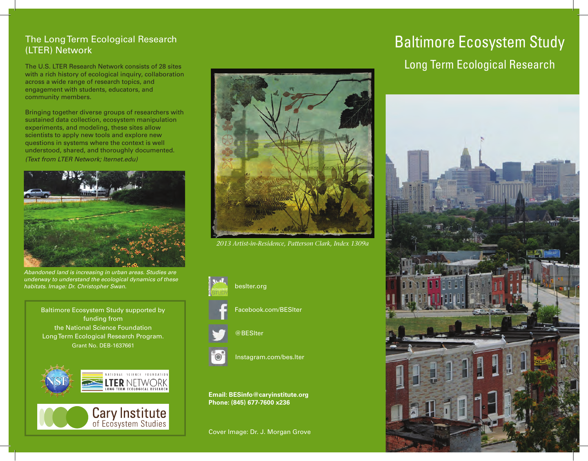## The Long Term Ecological Research (LTER) Network

The U.S. LTER Research Network consists of 28 sites with a rich history of ecological inquiry, collaboration across a wide range of research topics, and engagement with students, educators, and community members.

Bringing together diverse groups of researchers with sustained data collection, ecosystem manipulation experiments, and modeling, these sites allow scientists to apply new tools and explore new questions in systems where the context is well understood, shared, and thoroughly documented. *(Text from LTER Network; lternet.edu)*



*Abandoned land is increasing in urban areas. Studies are underway to understand the ecological dynamics of these habitats. Image: Dr. Christopher Swan.*

Baltimore Ecosystem Study supported by funding from the National Science Foundation Long Term Ecological Research Program. Grant No. DEB-1637661





*2013 Artist-in-Residence, Patterson Clark, Index 1309a* 



Facebook.com/BESlter

#### @BESlter



Instagram.com/bes.lter

**Email: BESinfo@caryinstitute.org Phone: (845) 677-7600 x236**

Cover Image: Dr. J. Morgan Grove

# Baltimore Ecosystem Study Long Term Ecological Research